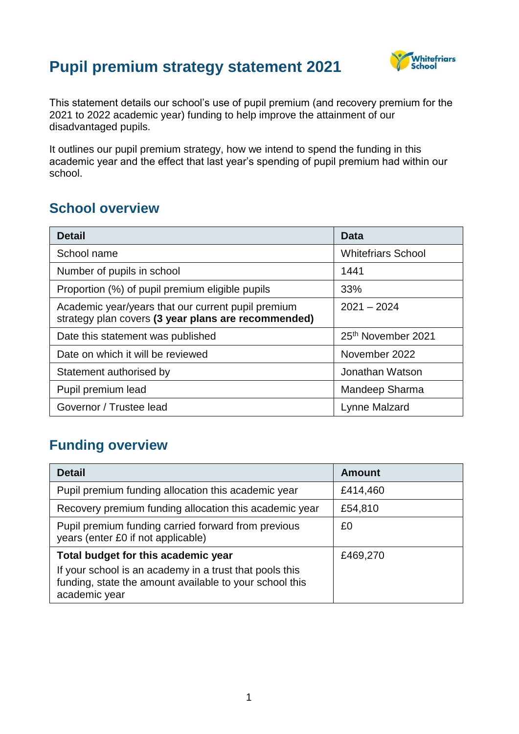# **Pupil premium strategy statement 2021**



This statement details our school's use of pupil premium (and recovery premium for the 2021 to 2022 academic year) funding to help improve the attainment of our disadvantaged pupils.

It outlines our pupil premium strategy, how we intend to spend the funding in this academic year and the effect that last year's spending of pupil premium had within our school.

#### **School overview**

| <b>Detail</b>                                                                                             | Data                      |
|-----------------------------------------------------------------------------------------------------------|---------------------------|
| School name                                                                                               | <b>Whitefriars School</b> |
| Number of pupils in school                                                                                | 1441                      |
| Proportion (%) of pupil premium eligible pupils                                                           | 33%                       |
| Academic year/years that our current pupil premium<br>strategy plan covers (3 year plans are recommended) | $2021 - 2024$             |
| Date this statement was published                                                                         | 25th November 2021        |
| Date on which it will be reviewed                                                                         | November 2022             |
| Statement authorised by                                                                                   | Jonathan Watson           |
| Pupil premium lead                                                                                        | Mandeep Sharma            |
| Governor / Trustee lead                                                                                   | Lynne Malzard             |

#### **Funding overview**

| <b>Detail</b>                                                                                                                       | <b>Amount</b> |
|-------------------------------------------------------------------------------------------------------------------------------------|---------------|
| Pupil premium funding allocation this academic year                                                                                 | £414,460      |
| Recovery premium funding allocation this academic year                                                                              | £54,810       |
| Pupil premium funding carried forward from previous<br>years (enter £0 if not applicable)                                           | £0            |
| Total budget for this academic year                                                                                                 | £469,270      |
| If your school is an academy in a trust that pools this<br>funding, state the amount available to your school this<br>academic year |               |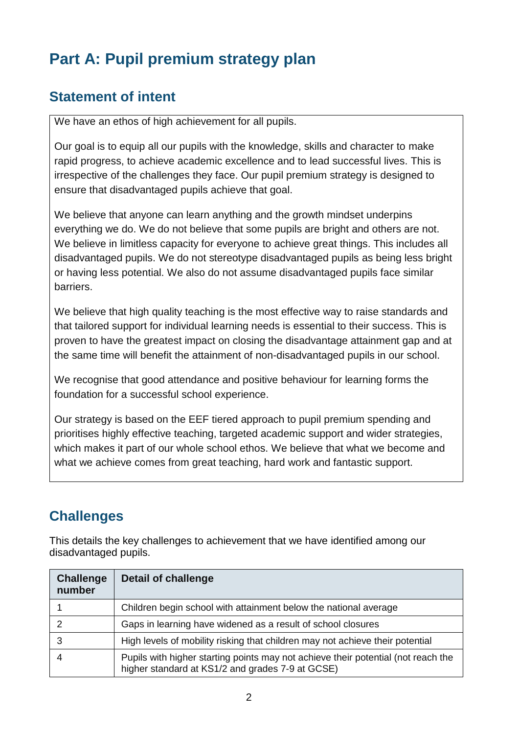# **Part A: Pupil premium strategy plan**

### **Statement of intent**

We have an ethos of high achievement for all pupils.

Our goal is to equip all our pupils with the knowledge, skills and character to make rapid progress, to achieve academic excellence and to lead successful lives. This is irrespective of the challenges they face. Our pupil premium strategy is designed to ensure that disadvantaged pupils achieve that goal.

We believe that anyone can learn anything and the growth mindset underpins everything we do. We do not believe that some pupils are bright and others are not. We believe in limitless capacity for everyone to achieve great things. This includes all disadvantaged pupils. We do not stereotype disadvantaged pupils as being less bright or having less potential. We also do not assume disadvantaged pupils face similar barriers.

We believe that high quality teaching is the most effective way to raise standards and that tailored support for individual learning needs is essential to their success. This is proven to have the greatest impact on closing the disadvantage attainment gap and at the same time will benefit the attainment of non-disadvantaged pupils in our school.

We recognise that good attendance and positive behaviour for learning forms the foundation for a successful school experience.

Our strategy is based on the EEF tiered approach to pupil premium spending and prioritises highly effective teaching, targeted academic support and wider strategies, which makes it part of our whole school ethos. We believe that what we become and what we achieve comes from great teaching, hard work and fantastic support.

# **Challenges**

This details the key challenges to achievement that we have identified among our disadvantaged pupils.

| <b>Challenge</b><br>number | <b>Detail of challenge</b>                                                                                                            |
|----------------------------|---------------------------------------------------------------------------------------------------------------------------------------|
|                            | Children begin school with attainment below the national average                                                                      |
|                            | Gaps in learning have widened as a result of school closures                                                                          |
|                            | High levels of mobility risking that children may not achieve their potential                                                         |
|                            | Pupils with higher starting points may not achieve their potential (not reach the<br>higher standard at KS1/2 and grades 7-9 at GCSE) |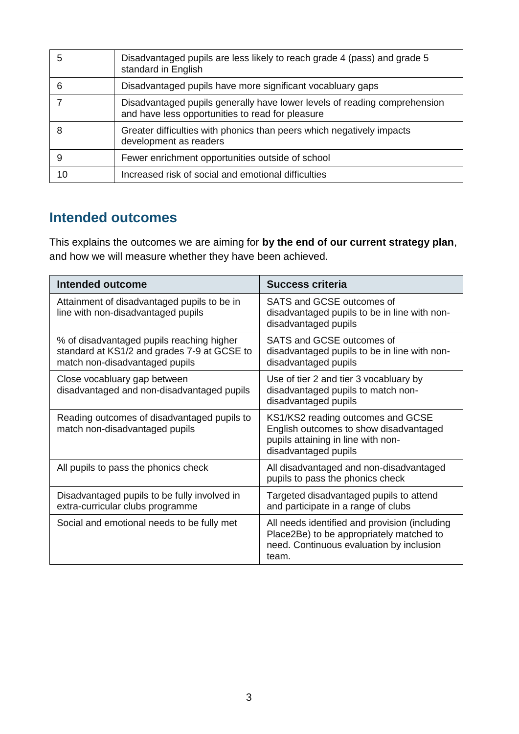| 5  | Disadvantaged pupils are less likely to reach grade 4 (pass) and grade 5<br>standard in English                               |
|----|-------------------------------------------------------------------------------------------------------------------------------|
| 6  | Disadvantaged pupils have more significant vocabluary gaps                                                                    |
|    | Disadvantaged pupils generally have lower levels of reading comprehension<br>and have less opportunities to read for pleasure |
| 8  | Greater difficulties with phonics than peers which negatively impacts<br>development as readers                               |
| 9  | Fewer enrichment opportunities outside of school                                                                              |
| 10 | Increased risk of social and emotional difficulties                                                                           |

#### **Intended outcomes**

This explains the outcomes we are aiming for **by the end of our current strategy plan**, and how we will measure whether they have been achieved.

| <b>Intended outcome</b>                                                                                                    | <b>Success criteria</b>                                                                                                                        |
|----------------------------------------------------------------------------------------------------------------------------|------------------------------------------------------------------------------------------------------------------------------------------------|
| Attainment of disadvantaged pupils to be in<br>line with non-disadvantaged pupils                                          | SATS and GCSE outcomes of<br>disadvantaged pupils to be in line with non-<br>disadvantaged pupils                                              |
| % of disadvantaged pupils reaching higher<br>standard at KS1/2 and grades 7-9 at GCSE to<br>match non-disadvantaged pupils | SATS and GCSE outcomes of<br>disadvantaged pupils to be in line with non-<br>disadvantaged pupils                                              |
| Close vocabluary gap between<br>disadvantaged and non-disadvantaged pupils                                                 | Use of tier 2 and tier 3 vocabluary by<br>disadvantaged pupils to match non-<br>disadvantaged pupils                                           |
| Reading outcomes of disadvantaged pupils to<br>match non-disadvantaged pupils                                              | KS1/KS2 reading outcomes and GCSE<br>English outcomes to show disadvantaged<br>pupils attaining in line with non-<br>disadvantaged pupils      |
| All pupils to pass the phonics check                                                                                       | All disadvantaged and non-disadvantaged<br>pupils to pass the phonics check                                                                    |
| Disadvantaged pupils to be fully involved in<br>extra-curricular clubs programme                                           | Targeted disadvantaged pupils to attend<br>and participate in a range of clubs                                                                 |
| Social and emotional needs to be fully met                                                                                 | All needs identified and provision (including<br>Place2Be) to be appropriately matched to<br>need. Continuous evaluation by inclusion<br>team. |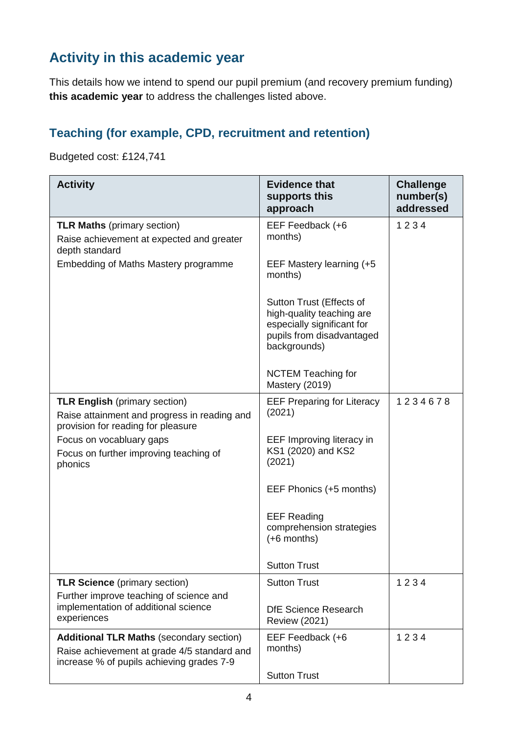# **Activity in this academic year**

This details how we intend to spend our pupil premium (and recovery premium funding) **this academic year** to address the challenges listed above.

### **Teaching (for example, CPD, recruitment and retention)**

Budgeted cost: £124,741

| <b>Activity</b>                                                                                                                             | <b>Evidence that</b><br>supports this<br>approach                                                                                | <b>Challenge</b><br>number(s)<br>addressed |
|---------------------------------------------------------------------------------------------------------------------------------------------|----------------------------------------------------------------------------------------------------------------------------------|--------------------------------------------|
| <b>TLR Maths (primary section)</b><br>Raise achievement at expected and greater<br>depth standard                                           | EEF Feedback (+6<br>months)                                                                                                      | 1234                                       |
| Embedding of Maths Mastery programme                                                                                                        | EEF Mastery learning (+5<br>months)                                                                                              |                                            |
|                                                                                                                                             | Sutton Trust (Effects of<br>high-quality teaching are<br>especially significant for<br>pupils from disadvantaged<br>backgrounds) |                                            |
|                                                                                                                                             | <b>NCTEM Teaching for</b><br>Mastery (2019)                                                                                      |                                            |
| <b>TLR English (primary section)</b><br>Raise attainment and progress in reading and<br>provision for reading for pleasure                  | <b>EEF Preparing for Literacy</b><br>(2021)                                                                                      | 1234678                                    |
| Focus on vocabluary gaps<br>Focus on further improving teaching of<br>phonics                                                               | EEF Improving literacy in<br>KS1 (2020) and KS2<br>(2021)                                                                        |                                            |
|                                                                                                                                             | EEF Phonics (+5 months)                                                                                                          |                                            |
|                                                                                                                                             | <b>EEF Reading</b><br>comprehension strategies<br>$(+6$ months)                                                                  |                                            |
|                                                                                                                                             | <b>Sutton Trust</b>                                                                                                              |                                            |
| <b>TLR Science</b> (primary section)                                                                                                        | <b>Sutton Trust</b>                                                                                                              | 1234                                       |
| Further improve teaching of science and<br>implementation of additional science<br>experiences                                              | DfE Science Research<br><b>Review (2021)</b>                                                                                     |                                            |
| <b>Additional TLR Maths (secondary section)</b><br>Raise achievement at grade 4/5 standard and<br>increase % of pupils achieving grades 7-9 | EEF Feedback (+6<br>months)                                                                                                      | 1234                                       |
|                                                                                                                                             | <b>Sutton Trust</b>                                                                                                              |                                            |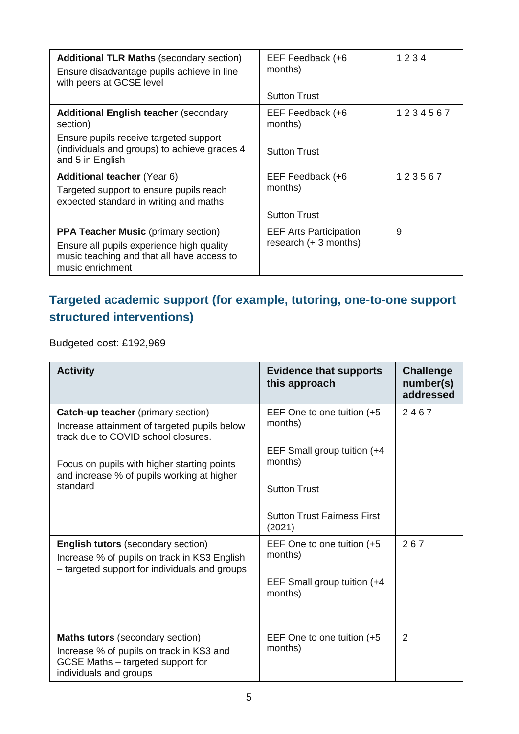| <b>Additional TLR Maths (secondary section)</b><br>Ensure disadvantage pupils achieve in line<br>with peers at GCSE level | EEF Feedback (+6<br>months)   | 1234    |
|---------------------------------------------------------------------------------------------------------------------------|-------------------------------|---------|
|                                                                                                                           | <b>Sutton Trust</b>           |         |
| <b>Additional English teacher (secondary</b><br>section)                                                                  | EEF Feedback (+6<br>months)   | 1234567 |
| Ensure pupils receive targeted support<br>(individuals and groups) to achieve grades 4<br>and 5 in English                | <b>Sutton Trust</b>           |         |
| <b>Additional teacher</b> (Year 6)<br>Targeted support to ensure pupils reach<br>expected standard in writing and maths   | EEF Feedback (+6<br>months)   | 123567  |
|                                                                                                                           | <b>Sutton Trust</b>           |         |
| <b>PPA Teacher Music (primary section)</b>                                                                                | <b>EEF Arts Participation</b> | 9       |
| Ensure all pupils experience high quality<br>music teaching and that all have access to<br>music enrichment               | research $(+ 3$ months)       |         |

### **Targeted academic support (for example, tutoring, one-to-one support structured interventions)**

Budgeted cost: £192,969

| <b>Activity</b>                                                                                                                                                                                                                           | <b>Evidence that supports</b><br>this approach                                                          | <b>Challenge</b><br>number(s)<br>addressed |
|-------------------------------------------------------------------------------------------------------------------------------------------------------------------------------------------------------------------------------------------|---------------------------------------------------------------------------------------------------------|--------------------------------------------|
| <b>Catch-up teacher</b> (primary section)<br>Increase attainment of targeted pupils below<br>track due to COVID school closures.<br>Focus on pupils with higher starting points<br>and increase % of pupils working at higher<br>standard | EEF One to one tuition (+5)<br>months)<br>EEF Small group tuition (+4<br>months)<br><b>Sutton Trust</b> | 2467                                       |
|                                                                                                                                                                                                                                           | <b>Sutton Trust Fairness First</b><br>(2021)                                                            |                                            |
| <b>English tutors (secondary section)</b><br>Increase % of pupils on track in KS3 English<br>- targeted support for individuals and groups                                                                                                | EEF One to one tuition (+5)<br>months)<br>EEF Small group tuition (+4<br>months)                        | 267                                        |
| <b>Maths tutors</b> (secondary section)<br>Increase % of pupils on track in KS3 and<br>GCSE Maths - targeted support for<br>individuals and groups                                                                                        | EEF One to one tuition (+5)<br>months)                                                                  | $\overline{2}$                             |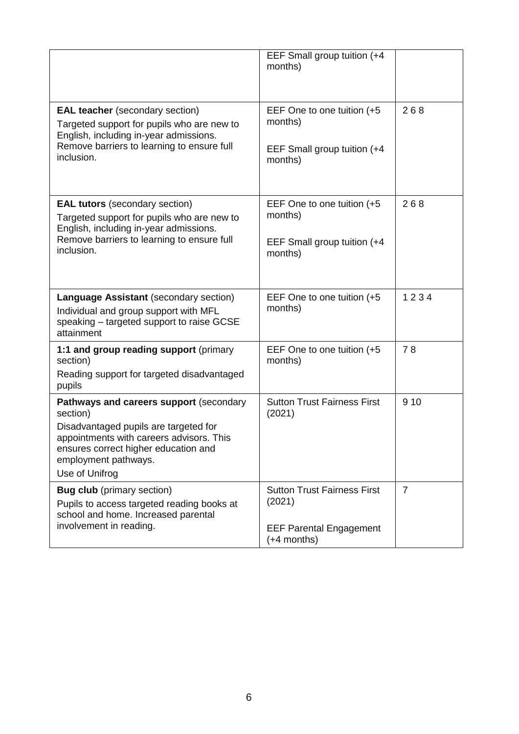|                                                                                                                                                                                                                            | EEF Small group tuition (+4<br>months)                                                          |                |
|----------------------------------------------------------------------------------------------------------------------------------------------------------------------------------------------------------------------------|-------------------------------------------------------------------------------------------------|----------------|
| <b>EAL teacher</b> (secondary section)<br>Targeted support for pupils who are new to<br>English, including in-year admissions.<br>Remove barriers to learning to ensure full<br>inclusion.                                 | EEF One to one tuition (+5<br>months)<br>EEF Small group tuition (+4<br>months)                 | 268            |
| <b>EAL tutors</b> (secondary section)<br>Targeted support for pupils who are new to<br>English, including in-year admissions.<br>Remove barriers to learning to ensure full<br>inclusion.                                  | EEF One to one tuition (+5<br>months)<br>EEF Small group tuition (+4<br>months)                 | 268            |
| Language Assistant (secondary section)<br>Individual and group support with MFL<br>speaking - targeted support to raise GCSE<br>attainment                                                                                 | EEF One to one tuition (+5<br>months)                                                           | 1234           |
| 1:1 and group reading support (primary<br>section)<br>Reading support for targeted disadvantaged<br>pupils                                                                                                                 | EEF One to one tuition (+5<br>months)                                                           | 78             |
| Pathways and careers support (secondary<br>section)<br>Disadvantaged pupils are targeted for<br>appointments with careers advisors. This<br>ensures correct higher education and<br>employment pathways.<br>Use of Unifrog | <b>Sutton Trust Fairness First</b><br>(2021)                                                    | 9 1 0          |
| <b>Bug club</b> (primary section)<br>Pupils to access targeted reading books at<br>school and home. Increased parental<br>involvement in reading.                                                                          | <b>Sutton Trust Fairness First</b><br>(2021)<br><b>EEF Parental Engagement</b><br>$(+4$ months) | $\overline{7}$ |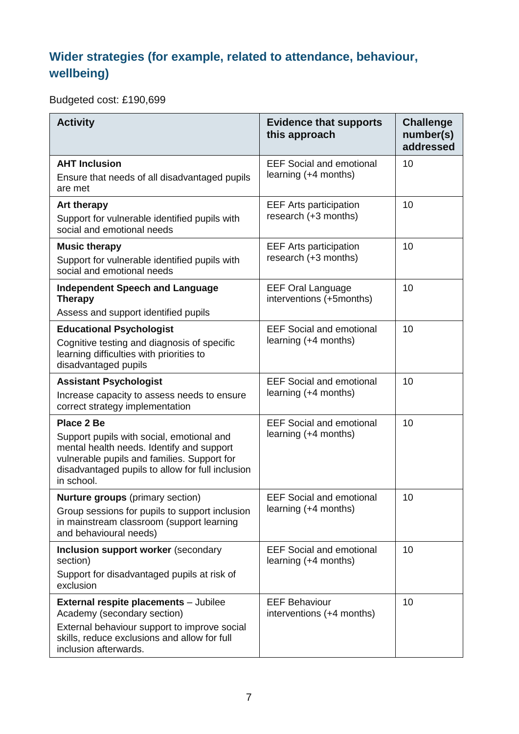### **Wider strategies (for example, related to attendance, behaviour, wellbeing)**

Budgeted cost: £190,699

| <b>Activity</b>                                                                                                                                                                                                              | <b>Evidence that supports</b><br>this approach          | <b>Challenge</b><br>number(s)<br>addressed |
|------------------------------------------------------------------------------------------------------------------------------------------------------------------------------------------------------------------------------|---------------------------------------------------------|--------------------------------------------|
| <b>AHT Inclusion</b><br>Ensure that needs of all disadvantaged pupils<br>are met                                                                                                                                             | <b>EEF Social and emotional</b><br>learning (+4 months) | 10                                         |
| <b>Art therapy</b><br>Support for vulnerable identified pupils with<br>social and emotional needs                                                                                                                            | <b>EEF Arts participation</b><br>research (+3 months)   | 10                                         |
| <b>Music therapy</b><br>Support for vulnerable identified pupils with<br>social and emotional needs                                                                                                                          | <b>EEF Arts participation</b><br>research (+3 months)   | 10                                         |
| <b>Independent Speech and Language</b><br><b>Therapy</b><br>Assess and support identified pupils                                                                                                                             | <b>EEF Oral Language</b><br>interventions (+5months)    | 10                                         |
| <b>Educational Psychologist</b><br>Cognitive testing and diagnosis of specific<br>learning difficulties with priorities to<br>disadvantaged pupils                                                                           | <b>EEF Social and emotional</b><br>learning (+4 months) | 10                                         |
| <b>Assistant Psychologist</b><br>Increase capacity to assess needs to ensure<br>correct strategy implementation                                                                                                              | <b>EEF Social and emotional</b><br>learning (+4 months) | 10                                         |
| <b>Place 2 Be</b><br>Support pupils with social, emotional and<br>mental health needs. Identify and support<br>vulnerable pupils and families. Support for<br>disadvantaged pupils to allow for full inclusion<br>in school. | <b>EEF Social and emotional</b><br>learning (+4 months) | 10                                         |
| <b>Nurture groups</b> (primary section)<br>Group sessions for pupils to support inclusion<br>in mainstream classroom (support learning<br>and behavioural needs)                                                             | <b>EEF Social and emotional</b><br>learning (+4 months) | 10                                         |
| Inclusion support worker (secondary<br>section)<br>Support for disadvantaged pupils at risk of<br>exclusion                                                                                                                  | <b>EEF Social and emotional</b><br>learning (+4 months) | 10                                         |
| <b>External respite placements</b> - Jubilee<br>Academy (secondary section)<br>External behaviour support to improve social<br>skills, reduce exclusions and allow for full<br>inclusion afterwards.                         | <b>EEF Behaviour</b><br>interventions (+4 months)       | 10                                         |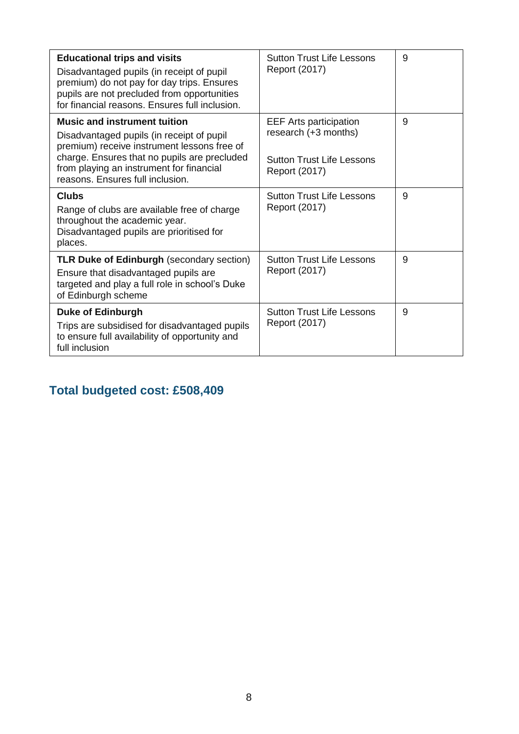| <b>Educational trips and visits</b>                                                                                                 | <b>Sutton Trust Life Lessons</b> | 9 |
|-------------------------------------------------------------------------------------------------------------------------------------|----------------------------------|---|
| Disadvantaged pupils (in receipt of pupil<br>premium) do not pay for day trips. Ensures                                             | Report (2017)                    |   |
| pupils are not precluded from opportunities<br>for financial reasons. Ensures full inclusion.                                       |                                  |   |
| <b>Music and instrument tuition</b>                                                                                                 | <b>EEF Arts participation</b>    | 9 |
| Disadvantaged pupils (in receipt of pupil<br>premium) receive instrument lessons free of                                            | research (+3 months)             |   |
| charge. Ensures that no pupils are precluded<br>from playing an instrument for financial                                            | <b>Sutton Trust Life Lessons</b> |   |
| reasons. Ensures full inclusion.                                                                                                    | Report (2017)                    |   |
| <b>Clubs</b>                                                                                                                        | <b>Sutton Trust Life Lessons</b> | 9 |
| Range of clubs are available free of charge<br>throughout the academic year.<br>Disadvantaged pupils are prioritised for<br>places. | Report (2017)                    |   |
| <b>TLR Duke of Edinburgh (secondary section)</b>                                                                                    | <b>Sutton Trust Life Lessons</b> | 9 |
| Ensure that disadvantaged pupils are<br>targeted and play a full role in school's Duke<br>of Edinburgh scheme                       | Report (2017)                    |   |
| <b>Duke of Edinburgh</b>                                                                                                            | <b>Sutton Trust Life Lessons</b> | 9 |
| Trips are subsidised for disadvantaged pupils<br>to ensure full availability of opportunity and<br>full inclusion                   | Report (2017)                    |   |

**Total budgeted cost: £508,409**